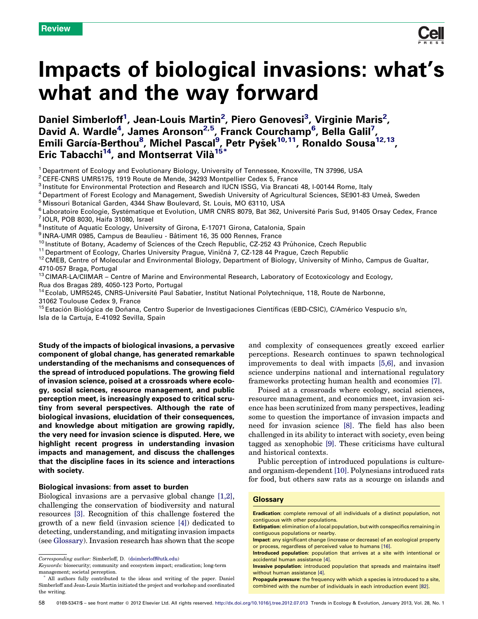

# Impacts of biological invasions: what's what and the way forward

Daniel Simberloff<sup>1</sup>, Jean-Louis Martin<sup>2</sup>, Piero Genovesi<sup>3</sup>, Virginie Maris<sup>2</sup>, David A. Wardle<sup>4</sup>, James Aronson<sup>2,5</sup>, Franck Courchamp<sup>6</sup>, Bella Galil<sup>7</sup>, Emili García-Berthou<sup>8</sup>, Michel Pascal<sup>9</sup>, Petr Pyšek<sup>10,11</sup>, Ronaldo Sousa<sup>12,13</sup>, Eric Tabacchi<sup>14</sup>, and Montserrat Vilà<sup>15\*</sup>

<sup>1</sup> Department of Ecology and Evolutionary Biology, University of Tennessee, Knoxville, TN 37996, USA<br><sup>2</sup> CEFE-CNRS UMR5175, 1919 Route de Mende, 34293 Montpellier Cedex 5, France<br><sup>3</sup> Institute for Environmental Protection

4710-057 Braga, Portugal<br><sup>13</sup> CIMAR-LA/CIIMAR – Centre of Marine and Environmental Research, Laboratory of Ecotoxicology and Ecology,<br>Rua dos Bragas 289, 4050-123 Porto, Portugal

<sup>14</sup> Ecolab, UMR5245, CNRS-Université Paul Sabatier, Institut National Polytechnique, 118, Route de Narbonne,

31062 Toulouse Cedex 9, France<br><sup>15</sup> Estación Biológica de Doñana, Centro Superior de Investigaciones Científicas (EBD-CSIC), C/Américo Vespucio s/n, Isla de la Cartuja, E-41092 Sevilla, Spain

Study of the impacts of biological invasions, a pervasive component of global change, has generated remarkable understanding of the mechanisms and consequences of the spread of introduced populations. The growing field of invasion science, poised at a crossroads where ecology, social sciences, resource management, and public perception meet, is increasingly exposed to critical scrutiny from several perspectives. Although the rate of biological invasions, elucidation of their consequences, and knowledge about mitigation are growing rapidly, the very need for invasion science is disputed. Here, we highlight recent progress in understanding invasion impacts and management, and discuss the challenges that the discipline faces in its science and interactions with society.

Biological invasions: from asset to burden

Biological invasions are a pervasive global change [\[1,2\]](#page-6-0), challenging the conservation of biodiversity and natural resources [\[3\]](#page-6-0). Recognition of this challenge fostered the growth of a new field (invasion science [\[4\]\)](#page-6-0) dedicated to detecting, understanding, and mitigating invasion impacts (see Glossary). Invasion research has shown that the scope and complexity of consequences greatly exceed earlier perceptions. Research continues to spawn technological improvements to deal with impacts [\[5,6\]](#page-6-0), and invasion science underpins national and international regulatory frameworks protecting human health and economies [\[7\]](#page-6-0).

Poised at a crossroads where ecology, social sciences, resource management, and economics meet, invasion science has been scrutinized from many perspectives, leading some to question the importance of invasion impacts and need for invasion science [\[8\].](#page-6-0) The field has also been challenged in its ability to interact with society, even being tagged as xenophobic [\[9\].](#page-6-0) These criticisms have cultural and historical contexts.

Public perception of introduced populations is cultureand organism-dependent [\[10\].](#page-6-0) Polynesians introduced rats for food, but others saw rats as a scourge on islands and

# **Glossary**

Corresponding author: Simberloff, D. ([dsimberloff@utk.edu\)](mailto:dsimberloff@utk.edu)

Keywords: biosecurity; community and ecosystem impact; eradication; long-term management; societal perception.

All authors fully contributed to the ideas and writing of the paper. Daniel Simberloff and Jean-Louis Martin initiated the project and workshop and coordinated the writing.

Eradication: complete removal of all individuals of a distinct population, not contiguous with other populations.

Extirpation: elimination of a local population, but with conspecifics remaining in contiguous populations or nearby.

Impact: any significant change (increase or decrease) of an ecological property or process, regardless of perceived value to humans [\[16\]](#page-6-0).

Introduced population: population that arrives at a site with intentional or accidental human assistance [\[4\].](#page-6-0)

Invasive population: introduced population that spreads and maintains itself without human assistance [\[4\]](#page-6-0).

Propagule pressure: the frequency with which a species is introduced to a site, combined with the number of individuals in each introduction event [\[82\]](#page-7-0).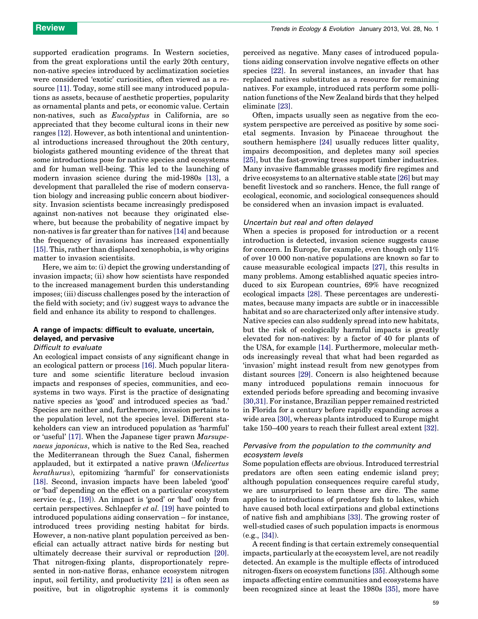supported eradication programs. In Western societies, from the great explorations until the early 20th century, non-native species introduced by acclimatization societies were considered 'exotic' curiosities, often viewed as a resource [\[11\]](#page-6-0). Today, some still see many introduced populations as assets, because of aesthetic properties, popularity as ornamental plants and pets, or economic value. Certain non-natives, such as *Eucalyptus* in California, are so appreciated that they become cultural icons in their new ranges [\[12\]](#page-6-0). However, as both intentional and unintentional introductions increased throughout the 20th century, biologists gathered mounting evidence of the threat that some introductions pose for native species and ecosystems and for human well-being. This led to the launching of modern invasion science during the mid-1980s [\[13\]](#page-6-0), a development that paralleled the rise of modern conservation biology and increasing public concern about biodiversity. Invasion scientists became increasingly predisposed against non-natives not because they originated elsewhere, but because the probability of negative impact by non-natives is far greater than for natives [\[14\]](#page-6-0) and because the frequency of invasions has increased exponentially [\[15\]](#page-6-0). This, rather than displaced xenophobia, is why origins matter to invasion scientisits.

Here, we aim to: (i) depict the growing understanding of invasion impacts; (ii) show how scientists have responded to the increased management burden this understanding imposes; (iii) discuss challenges posed by the interaction of the field with society; and (iv) suggest ways to advance the field and enhance its ability to respond to challenges.

# A range of impacts: difficult to evaluate, uncertain, delayed, and pervasive

# Difficult to evaluate

An ecological impact consists of any significant change in an ecological pattern or process [\[16\]](#page-6-0). Much popular literature and some scientific literature becloud invasion impacts and responses of species, communities, and ecosystems in two ways. First is the practice of designating native species as 'good' and introduced species as 'bad.' Species are neither and, furthermore, invasion pertains to the population level, not the species level. Different stakeholders can view an introduced population as 'harmful' or 'useful' [\[17\]](#page-6-0). When the Japanese tiger prawn Marsupenaeus japonicus, which is native to the Red Sea, reached the Mediterranean through the Suez Canal, fishermen applauded, but it extirpated a native prawn (Melicertus kerathurus), epitomizing 'harmful' for conservationists [\[18\]](#page-6-0). Second, invasion impacts have been labeled 'good' or 'bad' depending on the effect on a particular ecosystem service (e.g., [\[19\]](#page-6-0)). An impact is 'good' or 'bad' only from certain perspectives. Schlaepfer et al. [\[19\]](#page-6-0) have pointed to introduced populations aiding conservation – for instance, introduced trees providing nesting habitat for birds. However, a non-native plant population perceived as beneficial can actually attract native birds for nesting but ultimately decrease their survival or reproduction [\[20\]](#page-6-0). That nitrogen-fixing plants, disproportionately represented in non-native floras, enhance ecosystem nitrogen input, soil fertility, and productivity [\[21\]](#page-6-0) is often seen as positive, but in oligotrophic systems it is commonly

perceived as negative. Many cases of introduced populations aiding conservation involve negative effects on other species [\[22\].](#page-6-0) In several instances, an invader that has replaced natives substitutes as a resource for remaining natives. For example, introduced rats perform some pollination functions of the New Zealand birds that they helped eliminate [\[23\].](#page-6-0)

Often, impacts usually seen as negative from the ecosystem perspective are perceived as positive by some societal segments. Invasion by Pinaceae throughout the southern hemisphere [\[24\]](#page-6-0) usually reduces litter quality, impairs decomposition, and depletes many soil species [\[25\]](#page-6-0), but the fast-growing trees support timber industries. Many invasive flammable grasses modify fire regimes and drive ecosystems to an alternative stable state [\[26\]](#page-6-0) but may benefit livestock and so ranchers. Hence, the full range of ecological, economic, and sociological consequences should be considered when an invasion impact is evaluated.

# Uncertain but real and often delayed

When a species is proposed for introduction or a recent introduction is detected, invasion science suggests cause for concern. In Europe, for example, even though only 11% of over 10 000 non-native populations are known so far to cause measurable ecological impacts [\[27\],](#page-6-0) this results in many problems. Among established aquatic species introduced to six European countries, 69% have recognized ecological impacts [\[28\]](#page-6-0). These percentages are underestimates, because many impacts are subtle or in inaccessible habitat and so are characterized only after intensive study. Native species can also suddenly spread into new habitats, but the risk of ecologically harmful impacts is greatly elevated for non-natives: by a factor of 40 for plants of the USA, for example [\[14\]](#page-6-0). Furthermore, molecular methods increasingly reveal that what had been regarded as 'invasion' might instead result from new genotypes from distant sources [\[29\].](#page-6-0) Concern is also heightened because many introduced populations remain innocuous for extended periods before spreading and becoming invasive [\[30,31\]](#page-7-0). For instance, Brazilian pepper remained restricted in Florida for a century before rapidly expanding across a wide area [\[30\],](#page-7-0) whereas plants introduced to Europe might take 150–400 years to reach their fullest areal extent [\[32\]](#page-7-0).

# Pervasive from the population to the community and ecosystem levels

Some population effects are obvious. Introduced terrestrial predators are often seen eating endemic island prey; although population consequences require careful study, we are unsurprised to learn these are dire. The same applies to introductions of predatory fish to lakes, which have caused both local extirpations and global extinctions of native fish and amphibians [\[33\]](#page-7-0). The growing roster of well-studied cases of such population impacts is enormous (e.g., [\[34\]\)](#page-7-0).

A recent finding is that certain extremely consequential impacts, particularly at the ecosystem level, are not readily detected. An example is the multiple effects of introduced nitrogen-fixers on ecosystem functions [\[35\].](#page-7-0) Although some impacts affecting entire communities and ecosystems have been recognized since at least the 1980s [\[35\]](#page-7-0), more have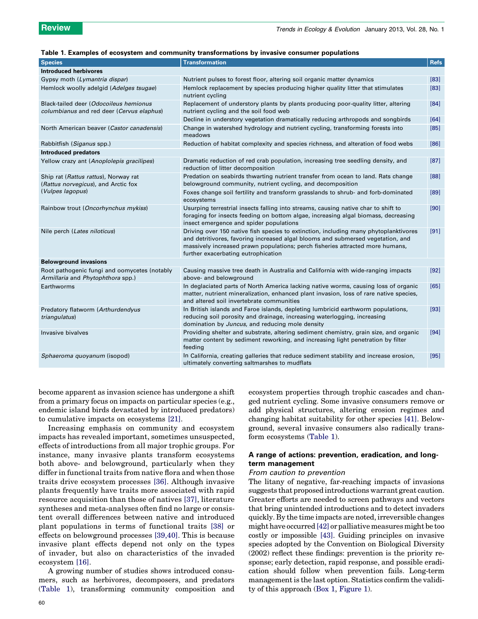#### Table 1. Examples of ecosystem and community transformations by invasive consumer populations

| <b>Species</b>                                                                                  | <b>Transformation</b>                                                                                                                                                                                                                                                                           | <b>Refs</b> |
|-------------------------------------------------------------------------------------------------|-------------------------------------------------------------------------------------------------------------------------------------------------------------------------------------------------------------------------------------------------------------------------------------------------|-------------|
| Introduced herbivores                                                                           |                                                                                                                                                                                                                                                                                                 |             |
| Gypsy moth (Lymantria dispar)                                                                   | Nutrient pulses to forest floor, altering soil organic matter dynamics                                                                                                                                                                                                                          | $[83]$      |
| Hemlock woolly adelgid (Adelges tsugae)                                                         | Hemlock replacement by species producing higher quality litter that stimulates<br>nutrient cycling                                                                                                                                                                                              | $[83]$      |
| Black-tailed deer (Odocoileus hemionus<br>columbianus and red deer (Cervus elaphus)             | Replacement of understory plants by plants producing poor-quality litter, altering<br>nutrient cycling and the soil food web                                                                                                                                                                    | [84]        |
|                                                                                                 | Decline in understory vegetation dramatically reducing arthropods and songbirds                                                                                                                                                                                                                 | [64]        |
| North American beaver (Castor canadensis)                                                       | Change in watershed hydrology and nutrient cycling, transforming forests into<br>meadows                                                                                                                                                                                                        | [85]        |
| Rabbitfish (Siganus spp.)                                                                       | Reduction of habitat complexity and species richness, and alteration of food webs                                                                                                                                                                                                               | [86]        |
| <b>Introduced predators</b>                                                                     |                                                                                                                                                                                                                                                                                                 |             |
| Yellow crazy ant (Anoplolepis gracilipes)                                                       | Dramatic reduction of red crab population, increasing tree seedling density, and<br>reduction of litter decomposition                                                                                                                                                                           | $[87]$      |
| Ship rat (Rattus rattus), Norway rat<br>(Rattus norvegicus), and Arctic fox<br>(Vulpes lagopus) | Predation on seabirds thwarting nutrient transfer from ocean to land. Rats change<br>belowground community, nutrient cycling, and decomposition                                                                                                                                                 | [88]        |
|                                                                                                 | Foxes change soil fertility and transform grasslands to shrub- and forb-dominated<br>ecosystems                                                                                                                                                                                                 | [89]        |
| Rainbow trout (Oncorhynchus mykiss)                                                             | Usurping terrestrial insects falling into streams, causing native char to shift to<br>foraging for insects feeding on bottom algae, increasing algal biomass, decreasing<br>insect emergence and spider populations                                                                             | [90]        |
| Nile perch (Lates niloticus)                                                                    | Driving over 150 native fish species to extinction, including many phytoplanktivores<br>and detritivores, favoring increased algal blooms and submersed vegetation, and<br>massively increased prawn populations; perch fisheries attracted more humans,<br>further exacerbating eutrophication | [91]        |
| <b>Belowground invasions</b>                                                                    |                                                                                                                                                                                                                                                                                                 |             |
| Root pathogenic fungi and oomycetes (notably<br>Armillaria and Phytophthora spp.)               | Causing massive tree death in Australia and California with wide-ranging impacts<br>above- and belowground                                                                                                                                                                                      | $[92]$      |
| <b>Earthworms</b>                                                                               | In deglaciated parts of North America lacking native worms, causing loss of organic<br>matter, nutrient mineralization, enhanced plant invasion, loss of rare native species,<br>and altered soil invertebrate communities                                                                      | [65]        |
| Predatory flatworm (Arthurdendyus<br>triangulatus)                                              | In British islands and Faroe islands, depleting lumbricid earthworm populations,<br>reducing soil porosity and drainage, increasing waterlogging, increasing<br>domination by Juncus, and reducing mole density                                                                                 | $[93]$      |
| Invasive bivalves                                                                               | Providing shelter and substrate, altering sediment chemistry, grain size, and organic<br>matter content by sediment reworking, and increasing light penetration by filter<br>feeding                                                                                                            | [94]        |
| Sphaeroma quoyanum (isopod)                                                                     | In California, creating galleries that reduce sediment stability and increase erosion,<br>ultimately converting saltmarshes to mudflats                                                                                                                                                         | $[95]$      |

become apparent as invasion science has undergone a shift from a primary focus on impacts on particular species (e.g., endemic island birds devastated by introduced predators) to cumulative impacts on ecosystems [\[21\].](#page-6-0)

Increasing emphasis on community and ecosystem impacts has revealed important, sometimes unsuspected, effects of introductions from all major trophic groups. For instance, many invasive plants transform ecosystems both above- and belowground, particularly when they differ in functional traits from native flora and when those traits drive ecosystem processes [\[36\].](#page-7-0) Although invasive plants frequently have traits more associated with rapid resource acquisition than those of natives [\[37\],](#page-7-0) literature syntheses and meta-analyses often find no large or consistent overall differences between native and introduced plant populations in terms of functional traits [\[38\]](#page-7-0) or effects on belowground processes [\[39,40\]](#page-7-0). This is because invasive plant effects depend not only on the types of invader, but also on characteristics of the invaded ecosystem [\[16\]](#page-6-0).

A growing number of studies shows introduced consumers, such as herbivores, decomposers, and predators (Table 1), transforming community composition and ecosystem properties through trophic cascades and changed nutrient cycling. Some invasive consumers remove or add physical structures, altering erosion regimes and changing habitat suitability for other species [\[41\].](#page-7-0) Belowground, several invasive consumers also radically transform ecosystems (Table 1).

# A range of actions: prevention, eradication, and longterm management

#### From caution to prevention

The litany of negative, far-reaching impacts of invasions suggests that proposed introductions warrant great caution. Greater efforts are needed to screen pathways and vectors that bring unintended introductions and to detect invaders quickly. By the time impacts are noted, irreversible changes might have occurred [\[42\]](#page-7-0) or palliative measures might be too costly or impossible [\[43\].](#page-7-0) Guiding principles on invasive species adopted by the Convention on Biological Diversity (2002) reflect these findings: prevention is the priority response; early detection, rapid response, and possible eradication should follow when prevention fails. Long-term management is the last option. Statistics confirm the validity of this approach [\(Box](#page-3-0) 1, [Figure](#page-3-0) 1).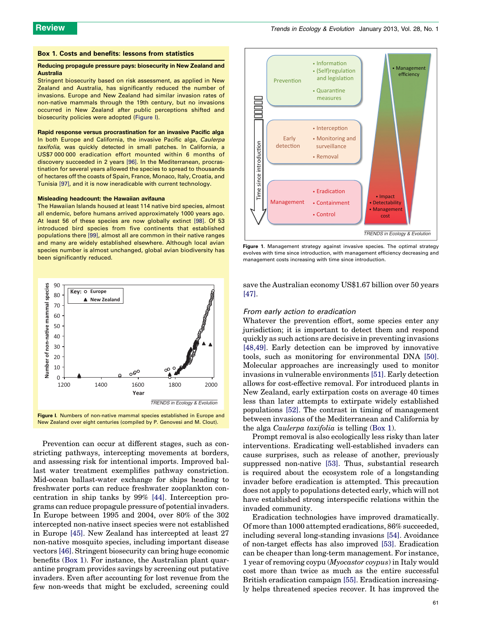#### <span id="page-3-0"></span>Box 1. Costs and benefits: lessons from statistics

#### Reducing propagule pressure pays: biosecurity in New Zealand and Australia

Stringent biosecurity based on risk assessment, as applied in New Zealand and Australia, has significantly reduced the number of invasions. Europe and New Zealand had similar invasion rates of non-native mammals through the 19th century, but no invasions occurred in New Zealand after public perceptions shifted and biosecurity policies were adopted (Figure I).

#### Rapid response versus procrastination for an invasive Pacific alga

In both Europe and California, the invasive Pacific alga, Caulerpa taxifolia, was quickly detected in small patches. In California, a US\$7 000 000 eradication effort mounted within 6 months of discovery succeeded in 2 years [\[96\]](#page-8-0). In the Mediterranean, procrastination for several years allowed the species to spread to thousands of hectares off the coasts of Spain, France, Monaco, Italy, Croatia, and Tunisia [\[97\],](#page-8-0) and it is now ineradicable with current technology.

#### Misleading headcount: the Hawaiian avifauna

The Hawaiian Islands housed at least 114 native bird species, almost all endemic, before humans arrived approximately 1000 years ago. At least 56 of these species are now globally extinct [\[98\].](#page-8-0) Of 53 introduced bird species from five continents that established populations there [\[99\],](#page-8-0) almost all are common in their native ranges and many are widely established elsewhere. Although local avian species number is almost unchanged, global avian biodiversity has been significantly reduced.





Prevention can occur at different stages, such as constricting pathways, intercepting movements at borders, and assessing risk for intentional imports. Improved ballast water treatment exemplifies pathway constriction. Mid-ocean ballast-water exchange for ships heading to freshwater ports can reduce freshwater zooplankton concentration in ship tanks by 99% [\[44\]](#page-7-0). Interception programs can reduce propagule pressure of potential invaders. In Europe between 1995 and 2004, over 80% of the 302 intercepted non-native insect species were not established in Europe [\[45\]](#page-7-0). New Zealand has intercepted at least 27 non-native mosquito species, including important disease vectors [\[46\].](#page-7-0) Stringent biosecurity can bring huge economic benefits (Box 1). For instance, the Australian plant quarantine program provides savings by screening out putative invaders. Even after accounting for lost revenue from the few non-weeds that might be excluded, screening could



Figure 1. Management strategy against invasive species. The optimal strategy evolves with time since introduction, with management efficiency decreasing and management costs increasing with time since introduction.

save the Australian economy US\$1.67 billion over 50 years [\[47\]](#page-7-0).

# From early action to eradication

Whatever the prevention effort, some species enter any jurisdiction; it is important to detect them and respond quickly as such actions are decisive in preventing invasions [\[48,49\]](#page-7-0). Early detection can be improved by innovative tools, such as monitoring for environmental DNA [\[50\]](#page-7-0). Molecular approaches are increasingly used to monitor invasions in vulnerable environments [\[51\]](#page-7-0). Early detection allows for cost-effective removal. For introduced plants in New Zealand, early extirpation costs on average 40 times less than later attempts to extirpate widely established populations [\[52\].](#page-7-0) The contrast in timing of management between invasions of the Mediterranean and California by the alga Caulerpa taxifolia is telling (Box 1).

Prompt removal is also ecologically less risky than later interventions. Eradicating well-established invaders can cause surprises, such as release of another, previously suppressed non-native [\[53\].](#page-7-0) Thus, substantial research is required about the ecosystem role of a longstanding invader before eradication is attempted. This precaution does not apply to populations detected early, which will not have established strong interspecific relations within the invaded community.

Eradication technologies have improved dramatically. Of more than 1000 attempted eradications, 86% succeeded, including several long-standing invasions [\[54\]](#page-7-0). Avoidance of non-target effects has also improved [\[53\]](#page-7-0). Eradication can be cheaper than long-term management. For instance, 1 year of removing coypu (Myocastor coypus) in Italy would cost more than twice as much as the entire successful British eradication campaign [\[55\]](#page-7-0). Eradication increasingly helps threatened species recover. It has improved the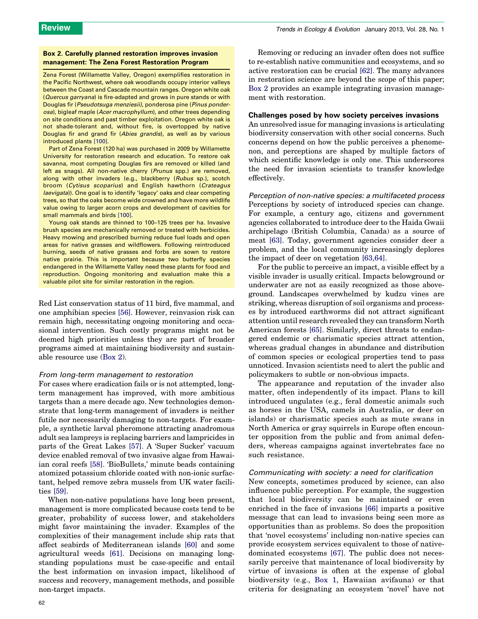# Box 2. Carefully planned restoration improves invasion management: The Zena Forest Restoration Program

Zena Forest (Willamette Valley, Oregon) exemplifies restoration in the Pacific Northwest, where oak woodlands occupy interior valleys between the Coast and Cascade mountain ranges. Oregon white oak (Quercus garryana) is fire-adapted and grows in pure stands or with Douglas fir (Pseudotsuga menziesii), ponderosa pine (Pinus ponderosa), bigleaf maple (Acer macrophyllum), and other trees depending on site conditions and past timber exploitation. Oregon white oak is not shade-tolerant and, without fire, is overtopped by native Douglas fir and grand fir (Abies grandis), as well as by various introduced plants [\[100\].](#page-8-0)

Part of Zena Forest (120 ha) was purchased in 2009 by Willamette University for restoration research and education. To restore oak savanna, most competing Douglas firs are removed or killed (and left as snags). All non-native cherry (Prunus spp.) are removed, along with other invaders (e.g., blackberry (Rubus sp.), scotch broom (Cytisus scoparius) and English hawthorn (Crateagus laevigata)). One goal is to identify 'legacy' oaks and clear competing trees, so that the oaks become wide crowned and have more wildlife value owing to larger acorn crops and development of cavities for small mammals and birds [\[100\]](#page-8-0).

Young oak stands are thinned to 100–125 trees per ha. Invasive brush species are mechanically removed or treated with herbicides. Heavy mowing and prescribed burning reduce fuel loads and open areas for native grasses and wildflowers. Following reintroduced burning, seeds of native grasses and forbs are sown to restore native prairie. This is important because two butterfly species endangered in the Willamette Valley need these plants for food and reproduction. Ongoing monitoring and evaluation make this a valuable pilot site for similar restoration in the region.

Red List conservation status of 11 bird, five mammal, and one amphibian species [\[56\].](#page-7-0) However, reinvasion risk can remain high, necessitating ongoing monitoring and occasional intervention. Such costly programs might not be deemed high priorities unless they are part of broader programs aimed at maintaining biodiversity and sustainable resource use (Box 2).

#### From long-term management to restoration

For cases where eradication fails or is not attempted, longterm management has improved, with more ambitious targets than a mere decade ago. New technologies demonstrate that long-term management of invaders is neither futile nor necessarily damaging to non-targets. For example, a synthetic larval pheromone attracting anadromous adult sea lampreys is replacing barriers and lampricides in parts of the Great Lakes [\[57\].](#page-7-0) A 'Super Sucker' vacuum device enabled removal of two invasive algae from Hawaiian coral reefs [\[58\].](#page-7-0) 'BioBullets,' minute beads containing atomized potassium chloride coated with non-ionic surfactant, helped remove zebra mussels from UK water facilities [\[59\].](#page-7-0)

When non-native populations have long been present, management is more complicated because costs tend to be greater, probability of success lower, and stakeholders might favor maintaining the invader. Examples of the complexities of their management include ship rats that affect seabirds of Mediterranean islands [\[60\]](#page-7-0) and some agricultural weeds [\[61\].](#page-7-0) Decisions on managing longstanding populations must be case-specific and entail the best information on invasion impact, likelihood of success and recovery, management methods, and possible non-target impacts.

Removing or reducing an invader often does not suffice to re-establish native communities and ecosystems, and so active restoration can be crucial [\[62\].](#page-7-0) The many advances in restoration science are beyond the scope of this paper; Box 2 provides an example integrating invasion management with restoration.

# Challenges posed by how society perceives invasions

An unresolved issue for managing invasions is articulating biodiversity conservation with other social concerns. Such concerns depend on how the public perceives a phenomenon, and perceptions are shaped by multiple factors of which scientific knowledge is only one. This underscores the need for invasion scientists to transfer knowledge effectively.

Perception of non-native species: a multifaceted process Perceptions by society of introduced species can change. For example, a century ago, citizens and government agencies collaborated to introduce deer to the Haida Gwaii archipelago (British Columbia, Canada) as a source of meat [\[63\].](#page-7-0) Today, government agencies consider deer a problem, and the local community increasingly deplores the impact of deer on vegetation [\[63,64\].](#page-7-0)

For the public to perceive an impact, a visible effect by a visible invader is usually critical. Impacts belowground or underwater are not as easily recognized as those aboveground. Landscapes overwhelmed by kudzu vines are striking, whereas disruption of soil organisms and processes by introduced earthworms did not attract significant attention until research revealed they can transform North American forests [\[65\].](#page-7-0) Similarly, direct threats to endangered endemic or charismatic species attract attention, whereas gradual changes in abundance and distribution of common species or ecological properties tend to pass unnoticed. Invasion scientists need to alert the public and policymakers to subtle or non-obvious impacts.

The appearance and reputation of the invader also matter, often independently of its impact. Plans to kill introduced ungulates (e.g., feral domestic animals such as horses in the USA, camels in Australia, or deer on islands) or charismatic species such as mute swans in North America or gray squirrels in Europe often encounter opposition from the public and from animal defenders, whereas campaigns against invertebrates face no such resistance.

# Communicating with society: a need for clarification

New concepts, sometimes produced by science, can also influence public perception. For example, the suggestion that local biodiversity can be maintained or even enriched in the face of invasions [\[66\]](#page-7-0) imparts a positive message that can lead to invasions being seen more as opportunities than as problems. So does the proposition that 'novel ecosystems' including non-native species can provide ecosystem services equivalent to those of nativedominated ecosystems [\[67\].](#page-7-0) The public does not necessarily perceive that maintenance of local biodiversity by virtue of invasions is often at the expense of global biodiversity (e.g., [Box](#page-3-0) 1, Hawaiian avifauna) or that criteria for designating an ecosystem 'novel' have not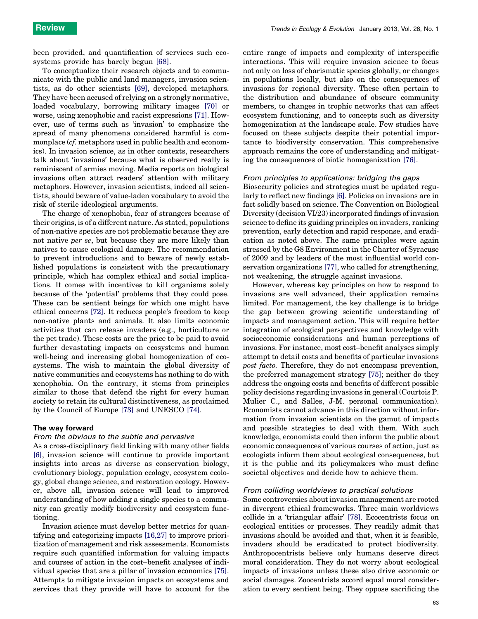been provided, and quantification of services such ecosystems provide has barely begun [\[68\].](#page-7-0)

To conceptualize their research objects and to communicate with the public and land managers, invasion scientists, as do other scientists [\[69\]](#page-7-0), developed metaphors. They have been accused of relying on a strongly normative, loaded vocabulary, borrowing military images [\[70\]](#page-7-0) or worse, using xenophobic and racist expressions [\[71\].](#page-7-0) However, use of terms such as 'invasion' to emphasize the spread of many phenomena considered harmful is commonplace (*cf.* metaphors used in public health and economics). In invasion science, as in other contexts, researchers talk about 'invasions' because what is observed really is reminiscent of armies moving. Media reports on biological invasions often attract readers' attention with military metaphors. However, invasion scientists, indeed all scientists, should beware of value-laden vocabulary to avoid the risk of sterile ideological arguments.

The charge of xenophobia, fear of strangers because of their origins, is of a different nature. As stated, populations of non-native species are not problematic because they are not native per se, but because they are more likely than natives to cause ecological damage. The recommendation to prevent introductions and to beware of newly established populations is consistent with the precautionary principle, which has complex ethical and social implications. It comes with incentives to kill organisms solely because of the 'potential' problems that they could pose. These can be sentient beings for which one might have ethical concerns [\[72\].](#page-7-0) It reduces people's freedom to keep non-native plants and animals. It also limits economic activities that can release invaders (e.g., horticulture or the pet trade). These costs are the price to be paid to avoid further devastating impacts on ecosystems and human well-being and increasing global homogenization of ecosystems. The wish to maintain the global diversity of native communities and ecosystems has nothing to do with xenophobia. On the contrary, it stems from principles similar to those that defend the right for every human society to retain its cultural distinctiveness, as proclaimed by the Council of Europe [\[73\]](#page-7-0) and UNESCO [\[74\]](#page-7-0).

#### The way forward

# From the obvious to the subtle and pervasive

As a cross-disciplinary field linking with many other fields [\[6\],](#page-6-0) invasion science will continue to provide important insights into areas as diverse as conservation biology, evolutionary biology, population ecology, ecosystem ecology, global change science, and restoration ecology. However, above all, invasion science will lead to improved understanding of how adding a single species to a community can greatly modify biodiversity and ecosystem functioning.

Invasion science must develop better metrics for quantifying and categorizing impacts [\[16,27\]](#page-6-0) to improve prioritization of management and risk assessments. Economists require such quantified information for valuing impacts and courses of action in the cost–benefit analyses of individual species that are a pillar of invasion economics [\[75\]](#page-7-0). Attempts to mitigate invasion impacts on ecosystems and services that they provide will have to account for the

entire range of impacts and complexity of interspecific interactions. This will require invasion science to focus not only on loss of charismatic species globally, or changes in populations locally, but also on the consequences of invasions for regional diversity. These often pertain to the distribution and abundance of obscure community members, to changes in trophic networks that can affect ecosystem functioning, and to concepts such as diversity homogenization at the landscape scale. Few studies have focused on these subjects despite their potential importance to biodiversity conservation. This comprehensive approach remains the core of understanding and mitigating the consequences of biotic homogenization [\[76\]](#page-7-0).

#### From principles to applications: bridging the gaps

Biosecurity policies and strategies must be updated regularly to reflect new findings [\[6\].](#page-6-0) Policies on invasions are in fact solidly based on science. The Convention on Biological Diversity (decision VI/23) incorporated findings of invasion science to define its guiding principles on invaders, ranking prevention, early detection and rapid response, and eradication as noted above. The same principles were again stressed by the G8 Environment in the Charter of Syracuse of 2009 and by leaders of the most influential world conservation organizations [\[77\]](#page-7-0), who called for strengthening, not weakening, the struggle against invasions.

However, whereas key principles on how to respond to invasions are well advanced, their application remains limited. For management, the key challenge is to bridge the gap between growing scientific understanding of impacts and management action. This will require better integration of ecological perspectives and knowledge with socioeconomic considerations and human perceptions of invasions. For instance, most cost–benefit analyses simply attempt to detail costs and benefits of particular invasions post facto. Therefore, they do not encompass prevention, the preferred management strategy [\[75\];](#page-7-0) neither do they address the ongoing costs and benefits of different possible policy decisions regarding invasions in general (Courtois P. Mulier C., and Salles, J-M. personal communication). Economists cannot advance in this direction without information from invasion scientists on the gamut of impacts and possible strategies to deal with them. With such knowledge, economists could then inform the public about economic consequences of various courses of action, just as ecologists inform them about ecological consequences, but it is the public and its policymakers who must define societal objectives and decide how to achieve them.

# From colliding worldviews to practical solutions

Some controversies aboutinvasion management are rooted in divergent ethical frameworks. Three main worldviews collide in a 'triangular affair' [\[78\]](#page-7-0). Ecocentrists focus on ecological entities or processes. They readily admit that invasions should be avoided and that, when it is feasible, invaders should be eradicated to protect biodiversity. Anthropocentrists believe only humans deserve direct moral consideration. They do not worry about ecological impacts of invasions unless these also drive economic or social damages. Zoocentrists accord equal moral consideration to every sentient being. They oppose sacrificing the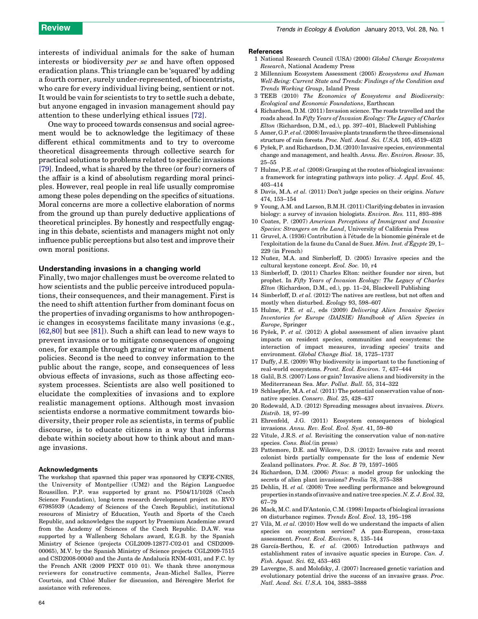<span id="page-6-0"></span>interests of individual animals for the sake of human interests or biodiversity per se and have often opposed eradication plans. This triangle can be 'squared' by adding a fourth corner, surely under-represented, of biocentrists, who care for every individual living being, sentient or not. It would be vain for scientists to try to settle such a debate, but anyone engaged in invasion management should pay attention to these underlying ethical issues [\[72\]](#page-7-0).

One way to proceed towards consensus and social agreement would be to acknowledge the legitimacy of these different ethical commitments and to try to overcome theoretical disagreements through collective search for practical solutions to problems related to specific invasions [\[79\]](#page-7-0). Indeed, what is shared by the three (or four) corners of the affair is a kind of absolutism regarding moral principles. However, real people in real life usually compromise among these poles depending on the specifics of situations. Moral concerns are more a collective elaboration of norms from the ground up than purely deductive applications of theoretical principles. By honestly and respectfully engaging in this debate, scientists and managers might not only influence public perceptions but also test and improve their own moral positions.

#### Understanding invasions in a changing world

Finally, two major challenges must be overcome related to how scientists and the public perceive introduced populations, their consequences, and their management. First is the need to shift attention further from dominant focus on the properties of invading organisms to how anthropogenic changes in ecosystems facilitate many invasions (e.g., [\[62,80\]](#page-7-0) but see [\[81\]](#page-7-0)). Such a shift can lead to new ways to prevent invasions or to mitigate consequences of ongoing ones, for example through grazing or water management policies. Second is the need to convey information to the public about the range, scope, and consequences of less obvious effects of invasions, such as those affecting ecosystem processes. Scientists are also well positioned to elucidate the complexities of invasions and to explore realistic management options. Although most invasion scientists endorse a normative commitment towards biodiversity, their proper role as scientists, in terms of public discourse, is to educate citizens in a way that informs debate within society about how to think about and manage invasions.

#### Acknowledgments

The workshop that spawned this paper was sponsored by CEFE-CNRS, the University of Montpellier (UM2) and the Région Languedoc Roussillon. P.P. was supported by grant no. P504/11/1028 (Czech Science Foundation), long-term research development project no. RVO 67985939 (Academy of Sciences of the Czech Republic), institutional resources of Ministry of Education, Youth and Sports of the Czech Republic, and acknowledges the support by Praemium Academiae award from the Academy of Sciences of the Czech Republic. D.A.W. was supported by a Wallenberg Scholars award, E.G.B. by the Spanish Ministry of Science (projects CGL2009-12877-C02-01 and CSD2009- 00065), M.V. by the Spanish Ministry of Science projects CGL2009-7515 and CSD2008-00040 and the Junta de Andalucía RNM-4031, and F.C. by the French ANR (2009 PEXT 010 01). We thank three anonymous reviewers for constructive comments, Jean-Michel Salles, Pierre Courtois, and Chloé Mulier for discussion, and Bérengère Merlot for assistance with references.

- 1 National Research Council (USA) (2000) Global Change Ecosystems Research, National Academy Press
- 2 Millennium Ecosystem Assessment (2005) Ecosystems and Human Well-Being: Current State and Trends: Findings of the Condition and Trends Working Group, Island Press
- 3 TEEB (2010) The Economics of Ecosystems and Biodiversity: Ecological and Economic Foundations, Earthscan
- 4 Richardson, D.M. (2011) Invasion science. The roads travelled and the roads ahead. In Fifty Years of Invasion Ecology: The Legacy of Charles Elton (Richardson, D.M., ed.), pp. 397–401, Blackwell Publishing
- 5 Asner, G.P. et al.(2008) Invasive plants transformthe three-dimensional structure of rain forests. Proc. Natl. Acad. Sci. U.S.A. 105, 4519–4523
- 6 Pyšek, P. and Richardson, D.M. (2010) Invasive species, environmental change and management, and health. Annu. Rev. Environ. Resour. 35, 25–55
- 7 Hulme, P.E.  $et\,al.$  (2008) Grasping at the routes of biological invasions: a framework for integrating pathways into policy. J. Appl. Ecol. 45, 403–414
- 8 Davis, M.A. et al. (2011) Don't judge species on their origins. Nature 474, 153–154
- 9 Young, A.M. and Larson, B.M.H. (2011) Clarifying debates in invasion biology: a survey of invasion biologists. Environ. Res. 111, 893–898
- 10 Coates, P. (2007) American Perceptions of Immigrant and Invasive Species: Strangers on the Land, University of California Press
- 11 Gruvel, A. (1936) Contribution à l'étude de la bionomie générale et de l'exploitation de la faune du Canal de Suez. Mém. Inst. d'Égypte 29, 1– 229 (in French)
- 12 Nuñez, M.A. and Simberloff, D. (2005) Invasive species and the cultural keystone concept. Ecol. Soc. 10, r4
- 13 Simberloff, D. (2011) Charles Elton: neither founder nor siren, but prophet. In Fifty Years of Invasion Ecology: The Legacy of Charles Elton (Richardson, D.M., ed.), pp. 11–24, Blackwell Publishing
- 14 Simberloff, D. et al. (2012) The natives are restless, but not often and mostly when disturbed. Ecology 93, 598–607
- 15 Hulme, P.E. et al., eds (2009) Delivering Alien Invasive Species Inventories for Europe (DAISIE) Handbook of Alien Species in Europe, Springer
- 16 Pyšek, P. et al.  $(2012)$  A global assessment of alien invasive plant impacts on resident species, communities and ecosystems: the interaction of impact measures, invading species' traits and environment. Global Change Biol. 18, 1725–1737
- 17 Duffy, J.E. (2009) Why biodiversity is important to the functioning of real-world ecosystems. Front. Ecol. Environ. 7, 437–444
- 18 Galil, B.S. (2007) Loss or gain? Invasive aliens and biodiversity in the Mediterranean Sea. Mar. Pollut. Bull. 55, 314–322
- 19 Schlaepfer, M.A. et al. (2011) The potential conservation value of nonnative species. Conserv. Biol. 25, 428–437
- 20 Rodewald, A.D. (2012) Spreading messages about invasives. Divers. Distrib. 18, 97–99
- 21 Ehrenfeld, J.G. (2011) Ecosystem consequences of biological invasions. Annu. Rev. Ecol. Evol. Syst. 41, 59–80
- 22 Vitule, J.R.S. et al. Revisiting the conservation value of non-native species. Cons. Biol.(in press)
- 23 Pattemore, D.E. and Wilcove, D.S. (2012) Invasive rats and recent colonist birds partially compensate for the loss of endemic New Zealand pollinators. Proc. R. Soc. B 79, 1597–1605
- 24 Richardson, D.M. (2006) Pinus: a model group for unlocking the secrets of alien plant invasions? Preslia 78, 375–388
- 25 Dehlin, H. et al. (2008) Tree seedling performance and belowground properties in stands ofinvasive and native tree species. N.Z. J. Ecol. 32, 67–79
- 26 Mack, M.C. and D'Antonio, C.M. (1998) Impacts of biological invasions on disturbance regimes. Trends Ecol. Evol. 13, 195–198
- $27$  Vilà, M. et al. (2010) How well do we understand the impacts of alien species on ecosystem services? A pan-European, cross-taxa assessment. Front. Ecol. Environ. 8, 135–144
- 28 García-Berthou, E. et al. (2005) Introduction pathways and establishment rates of invasive aquatic species in Europe. Can. J. Fish. Aquat. Sci. 62, 453–463
- 29 Lavergne, S. and Molofsky, J. (2007) Increased genetic variation and evolutionary potential drive the success of an invasive grass. Proc. Natl. Acad. Sci. U.S.A. 104, 3883–3888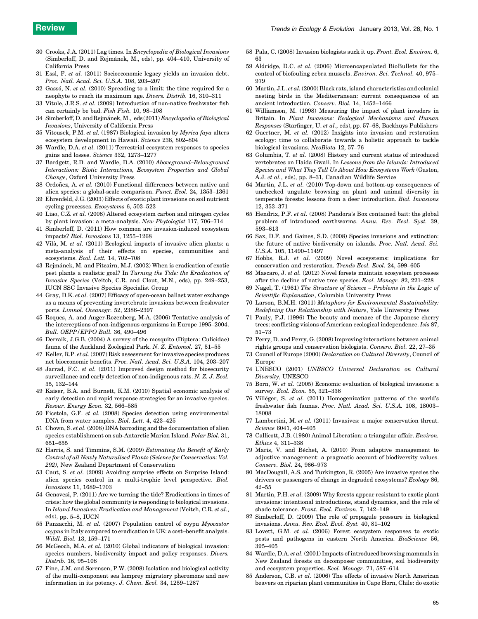- <span id="page-7-0"></span>30 Crooks, J.A. (2011) Lag times. In Encyclopedia of Biological Invasions (Simberloff, D. and Rejmánek, M., eds), pp. 404–410, University of California Press
- 31 Essl, F. et al. (2011) Socioeconomic legacy yields an invasion debt. Proc. Natl. Acad. Sci. U.S.A. 108, 203–207
- 32 Gassó, N. et al.  $(2010)$  Spreading to a limit: the time required for a neophyte to reach its maximum age. Divers. Distrib. 16, 310–311
- 33 Vitule, J.R.S. et al. (2009) Introduction of non-native freshwater fish can certainly be bad. Fish Fish. 10, 98–108
- 34 Simberloff, D. and Rejmánek, M., eds (2011) Encyclopedia of Biological Invasions, University of California Press
- 35 Vitousek, P.M. et al. (1987) Biological invasion by Myrica faya alters ecosystem development in Hawaii. Science 238, 802–804
- 36 Wardle, D.A. et al. (2011) Terrestrial ecosystem responses to species gains and losses. Science 332, 1273–1277
- 37 Bardgett, R.D. and Wardle, D.A. (2010) Aboveground–Belowground Interactions: Biotic Interactions, Ecosystem Properties and Global Change, Oxford University Press
- 38 Ordoñez, A. et al. (2010) Functional differences between native and alien species: a global-scale comparison. Funct. Ecol. 24, 1353–1361
- 39 Ehrenfeld, J.G. (2003) Effects of exotic plant invasions on soil nutrient cycling processes. Ecosystems 6, 503–523
- 40 Liao, C.Z. et al. (2008) Altered ecosystem carbon and nitrogen cycles by plant invasion: a meta-analysis. New Phytologist 117, 706–714
- 41 Simberloff, D. (2011) How common are invasion-induced ecosystem impacts? Biol. Invasions 13, 1255–1268
- 42 Vila`, M. et al. (2011) Ecological impacts of invasive alien plants: a meta-analysis of their effects on species, communities and ecosystems. Ecol. Lett. 14, 702–708
- 43 Rejma´nek, M. and Pitcairn, M.J. (2002) When is eradication of exotic pest plants a realistic goal? In Turning the Tide: the Eradication of Invasive Species (Veitch, C.R. and Clout, M.N., eds), pp. 249–253, IUCN SSC Invasive Species Specialist Group
- 44 Gray, D.K. et al. (2007) Efficacy of open-ocean ballast water exchange as a means of preventing invertebrate invasions between freshwater ports. Limnol. Oceanogr. 52, 2386–2397
- 45 Roques, A. and Auger-Rozenberg, M-A. (2006) Tentative analysis of the interceptions of non-indigenous organisms in Europe 1995–2004. Bull. OEPP/EPPO Bull. 36, 490–496
- 46 Derraik, J.G.B. (2004) A survey of the mosquito (Diptera: Culicidae) fauna of the Auckland Zoological Park. N. Z. Entomol. 27, 51–55
- 47 Keller, R.P. et al. (2007) Risk assessment for invasive species produces net bioeconomic benefits. Proc. Natl. Acad. Sci. U.S.A. 104, 203–207
- 48 Jarrad, F.C. et al. (2011) Improved design method for biosecurity surveillance and early detection of non-indigenous rats. N. Z. J. Ecol. 35, 132–144
- 49 Kaiser, B.A. and Burnett, K.M. (2010) Spatial economic analysis of early detection and rapid response strategies for an invasive species. Resour. Energy Econ. 32, 566–585
- 50 Ficetola, G.F. et al. (2008) Species detection using environmental DNA from water samples. Biol. Lett. 4, 423–425
- 51 Chown, S. et al. (2008) DNA barcoding and the documentation of alien species establishment on sub-Antarctic Marion Island. Polar Biol. 31, 651–655
- 52 Harris, S. and Timmins, S.M. (2009) Estimating the Benefit of Early Control of all Newly Naturalised Plants (Science for Conservation: Vol. 292), New Zealand Department of Conservation
- 53 Caut, S. et al. (2009) Avoiding surprise effects on Surprise Island: alien species control in a multi-trophic level perspective. Biol. Invasions 11, 1689–1703
- 54 Genovesi, P. (2011) Are we turning the tide? Eradications in times of crisis: how the global community is responding to biological invasions. In Island Invasives: Eradication and Management (Veitch, C.R. et al., eds), pp. 5–8, IUCN
- 55 Panzacchi, M. et al. (2007) Population control of coypu Myocastor coypus in Italy compared to eradication in UK: a cost–benefit analysis. Wildl. Biol. 13, 159–171
- 56 McGeoch, M.A. et al. (2010) Global indicators of biological invasion: species numbers, biodiversity impact and policy responses. Divers. Distrib. 16, 95–108
- 57 Fine, J.M. and Sorensen, P.W. (2008) Isolation and biological activity of the multi-component sea lamprey migratory pheromone and new information in its potency. J. Chem. Ecol. 34, 1259–1267
- 58 Pala, C. (2008) Invasion biologists suck it up. Front. Ecol. Environ. 6, 63
- 59 Aldridge, D.C. et al. (2006) Microencapsulated BioBullets for the control of biofouling zebra mussels. Environ. Sci. Technol. 40, 975– 979
- 60 Martin, J.L. et al. (2000) Black rats, island characteristics and colonial nesting birds in the Mediterranean: current consequences of an ancient introduction. Conserv. Biol. 14, 1452–1466
- Williamson, M. (1998) Measuring the impact of plant invaders in Britain. In Plant Invasions: Ecological Mechanisms and Human Responses (Starfinger, U. et al., eds), pp. 57–68, Backhuys Publishers
- 62 Gaertner, M. et al. (2012) Insights into invasion and restoration ecology: time to collaborate towards a holistic approach to tackle biological invasions. NeoBiota 12, 57–76
- 63 Golumbia, T. et al. (2008) History and current status of introduced vertebrates on Haida Gwaii. In Lessons from the Islands: Introduced Species and What They Tell Us About How Ecosystems Work (Gaston, A.J. et al., eds), pp. 8–31, Canadian Wildlife Service
- 64 Martin, J.L. et al. (2010) Top-down and bottom-up consequences of unchecked ungulate browsing on plant and animal diversity in temperate forests: lessons from a deer introduction. Biol. Invasions 12, 353–371
- 65 Hendrix, P.F. et al. (2008) Pandora's Box contained bait: the global problem of introduced earthworms. Annu. Rev. Ecol. Syst. 39, 593–613
- 66 Sax, D.F. and Gaines, S.D. (2008) Species invasions and extinction: the future of native biodiversity on islands. Proc. Natl. Acad. Sci. U.S.A. 105, 11490–11497
- 67 Hobbs, R.J. et al. (2009) Novel ecosystems: implications for conservation and restoration. Trends Ecol. Evol. 24, 599–605
- 68 Mascaro, J. et al. (2012) Novel forests maintain ecosystem processes after the decline of native tree species. Ecol. Monogr. 82, 221–228
- 69 Nagel, T. (1961) The Structure of Science Problems in the Logic of Scientific Explanation, Columbia University Press
- 70 Larson, B.M.H. (2011) Metaphors for Environmental Sustainability: Redefining Our Relationship with Nature, Yale University Press
- 71 Pauly, P.J. (1996) The beauty and menace of the Japanese cherry trees: conflicting visions of American ecological independence. Isis 87, 51–73
- 72 Perry, D. and Perry, G. (2008) Improving interactions between animal rights groups and conservation biologists. Conserv. Biol. 22, 27–35
- 73 Council of Europe (2000) Declaration on Cultural Diversity, Council of Europe
- 74 UNESCO (2001) UNESCO Universal Declaration on Cultural Diversity, UNESCO
- 75 Born, W. et al. (2005) Economic evaluation of biological invasions: a survey. Ecol. Econ. 55, 321–336
- 76 Villéger, S. et al. (2011) Homogenization patterns of the world's freshwater fish faunas. Proc. Natl. Acad. Sci. U.S.A. 108, 18003– 18008
- 77 Lambertini, M. et al. (2011) Invasives: a major conservation threat. Science 6041, 404–405
- 78 Callicott, J.B. (1980) Animal Liberation: a triangular affair. Environ. Ethics 4, 311–338
- 79 Maris, V. and Béchet, A. (2010) From adaptive management to adjustive management: a pragmatic account of biodiversity values. Conserv. Biol. 24, 966–973
- 80 MacDougall, A.S. and Turkington, R. (2005) Are invasive species the drivers or passengers of change in degraded ecosystems? Ecology 86, 42–55
- 81 Martin, P.H. et al. (2009) Why forests appear resistant to exotic plant invasions: intentional introductions, stand dynamics, and the role of shade tolerance. Front. Ecol. Environ. 7, 142–149
- 82 Simberloff, D. (2009) The role of propagule pressure in biological invasions. Annu. Rev. Ecol. Evol. Syst. 40, 81–102
- 83 Lovett, G.M. et al. (2006) Forest ecosystem responses to exotic pests and pathogens in eastern North America. BioScience 56, 395–405
- 84 Wardle, D.A. et al. (2001) Impacts of introduced browsing mammals in New Zealand forests on decomposer communities, soil biodiversity and ecosystem properties. Ecol. Monogr. 71, 587–614
- 85 Anderson, C.B. et al. (2006) The effects of invasive North American beavers on riparian plant communities in Cape Horn, Chile: do exotic